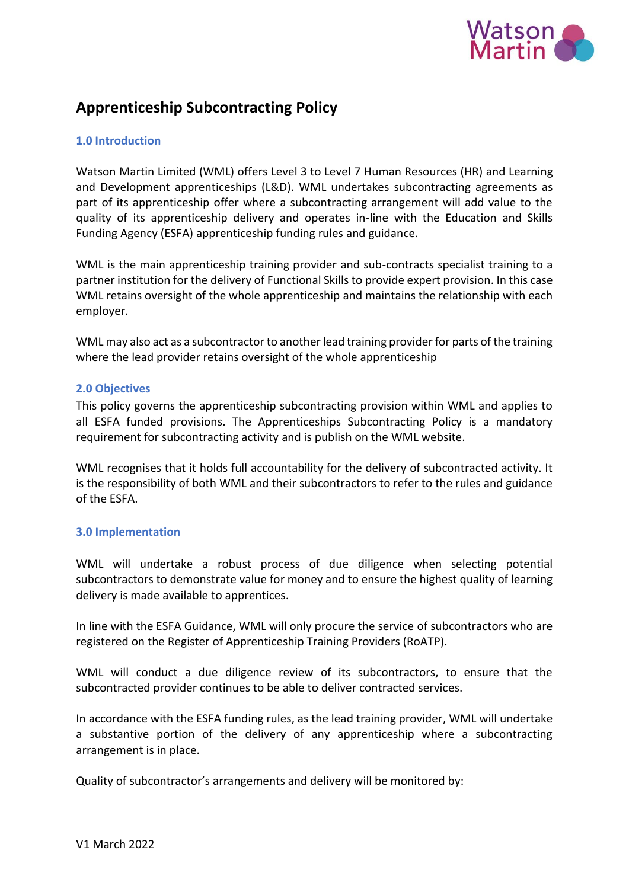

# **Apprenticeship Subcontracting Policy**

### **1.0 Introduction**

Watson Martin Limited (WML) offers Level 3 to Level 7 Human Resources (HR) and Learning and Development apprenticeships (L&D). WML undertakes subcontracting agreements as part of its apprenticeship offer where a subcontracting arrangement will add value to the quality of its apprenticeship delivery and operates in-line with the Education and Skills Funding Agency (ESFA) apprenticeship funding rules and guidance.

WML is the main apprenticeship training provider and sub-contracts specialist training to a partner institution for the delivery of Functional Skills to provide expert provision. In this case WML retains oversight of the whole apprenticeship and maintains the relationship with each employer.

WML may also act as a subcontractor to another lead training provider for parts of the training where the lead provider retains oversight of the whole apprenticeship

#### **2.0 Objectives**

This policy governs the apprenticeship subcontracting provision within WML and applies to all ESFA funded provisions. The Apprenticeships Subcontracting Policy is a mandatory requirement for subcontracting activity and is publish on the WML website.

WML recognises that it holds full accountability for the delivery of subcontracted activity. It is the responsibility of both WML and their subcontractors to refer to the rules and guidance of the ESFA.

#### **3.0 Implementation**

WML will undertake a robust process of due diligence when selecting potential subcontractors to demonstrate value for money and to ensure the highest quality of learning delivery is made available to apprentices.

In line with the ESFA Guidance, WML will only procure the service of subcontractors who are registered on the Register of Apprenticeship Training Providers (RoATP).

WML will conduct a due diligence review of its subcontractors, to ensure that the subcontracted provider continues to be able to deliver contracted services.

In accordance with the ESFA funding rules, as the lead training provider, WML will undertake a substantive portion of the delivery of any apprenticeship where a subcontracting arrangement is in place.

Quality of subcontractor's arrangements and delivery will be monitored by: